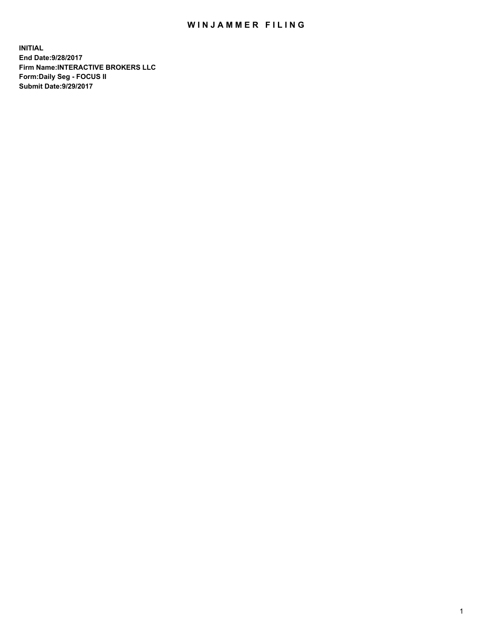## WIN JAMMER FILING

**INITIAL End Date:9/28/2017 Firm Name:INTERACTIVE BROKERS LLC Form:Daily Seg - FOCUS II Submit Date:9/29/2017**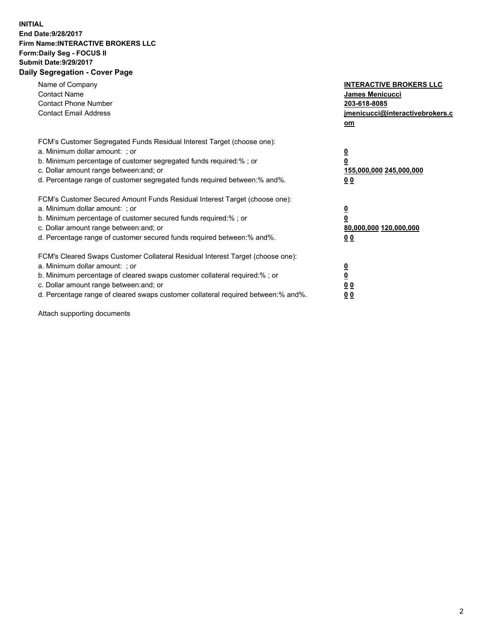## **INITIAL End Date:9/28/2017 Firm Name:INTERACTIVE BROKERS LLC Form:Daily Seg - FOCUS II Submit Date:9/29/2017 Daily Segregation - Cover Page**

| Name of Company<br><b>Contact Name</b><br><b>Contact Phone Number</b><br><b>Contact Email Address</b>                                                                                                                                                                                                                          | <b>INTERACTIVE BROKERS LLC</b><br><b>James Menicucci</b><br>203-618-8085<br>jmenicucci@interactivebrokers.c<br>om |
|--------------------------------------------------------------------------------------------------------------------------------------------------------------------------------------------------------------------------------------------------------------------------------------------------------------------------------|-------------------------------------------------------------------------------------------------------------------|
| FCM's Customer Segregated Funds Residual Interest Target (choose one):<br>a. Minimum dollar amount: ; or<br>b. Minimum percentage of customer segregated funds required:%; or<br>c. Dollar amount range between: and; or<br>d. Percentage range of customer segregated funds required between:% and%.                          | $\overline{\mathbf{0}}$<br>0<br>155,000,000 245,000,000<br>0 <sub>0</sub>                                         |
| FCM's Customer Secured Amount Funds Residual Interest Target (choose one):<br>a. Minimum dollar amount: ; or<br>b. Minimum percentage of customer secured funds required:%; or<br>c. Dollar amount range between: and; or<br>d. Percentage range of customer secured funds required between: % and %.                          | $\overline{\mathbf{0}}$<br>0<br>80,000,000 120,000,000<br>00                                                      |
| FCM's Cleared Swaps Customer Collateral Residual Interest Target (choose one):<br>a. Minimum dollar amount: ; or<br>b. Minimum percentage of cleared swaps customer collateral required:% ; or<br>c. Dollar amount range between: and; or<br>d. Percentage range of cleared swaps customer collateral required between:% and%. | $\overline{\mathbf{0}}$<br>$\overline{\mathbf{0}}$<br>0 <sub>0</sub><br><u>00</u>                                 |

Attach supporting documents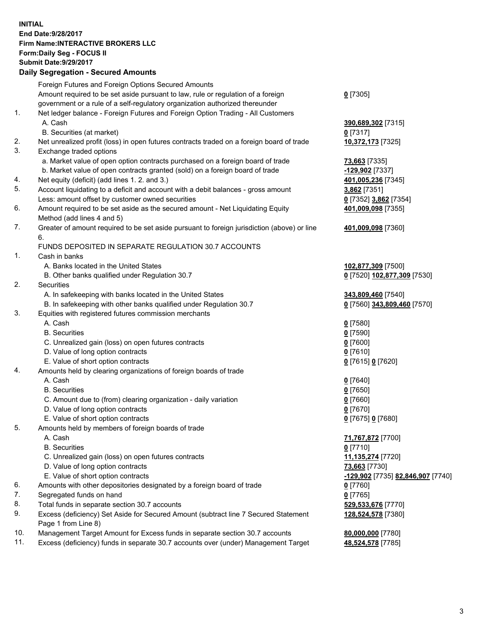## **INITIAL End Date:9/28/2017 Firm Name:INTERACTIVE BROKERS LLC Form:Daily Seg - FOCUS II Submit Date:9/29/2017 Daily Segregation - Secured Amounts**

|     | Daily Segregation - Secured Amounts                                                         |                                   |
|-----|---------------------------------------------------------------------------------------------|-----------------------------------|
|     | Foreign Futures and Foreign Options Secured Amounts                                         |                                   |
|     | Amount required to be set aside pursuant to law, rule or regulation of a foreign            | $0$ [7305]                        |
|     | government or a rule of a self-regulatory organization authorized thereunder                |                                   |
| 1.  | Net ledger balance - Foreign Futures and Foreign Option Trading - All Customers             |                                   |
|     |                                                                                             |                                   |
|     | A. Cash                                                                                     | 390,689,302 [7315]                |
|     | B. Securities (at market)                                                                   | $0$ [7317]                        |
| 2.  | Net unrealized profit (loss) in open futures contracts traded on a foreign board of trade   | 10,372,173 [7325]                 |
| 3.  | Exchange traded options                                                                     |                                   |
|     | a. Market value of open option contracts purchased on a foreign board of trade              | <b>73,663</b> [7335]              |
|     | b. Market value of open contracts granted (sold) on a foreign board of trade                | $-129,902$ [7337]                 |
| 4.  | Net equity (deficit) (add lines 1.2. and 3.)                                                | 401,005,236 [7345]                |
| 5.  | Account liquidating to a deficit and account with a debit balances - gross amount           | 3,862 [7351]                      |
|     | Less: amount offset by customer owned securities                                            | 0 [7352] 3,862 [7354]             |
| 6.  | Amount required to be set aside as the secured amount - Net Liquidating Equity              | 401,009,098 [7355]                |
|     | Method (add lines 4 and 5)                                                                  |                                   |
| 7.  | Greater of amount required to be set aside pursuant to foreign jurisdiction (above) or line | 401,009,098 [7360]                |
|     | 6.                                                                                          |                                   |
|     | FUNDS DEPOSITED IN SEPARATE REGULATION 30.7 ACCOUNTS                                        |                                   |
| 1.  | Cash in banks                                                                               |                                   |
|     | A. Banks located in the United States                                                       | 102,877,309 [7500]                |
|     | B. Other banks qualified under Regulation 30.7                                              | 0 [7520] 102,877,309 [7530]       |
| 2.  | Securities                                                                                  |                                   |
|     |                                                                                             |                                   |
|     | A. In safekeeping with banks located in the United States                                   | 343,809,460 [7540]                |
|     | B. In safekeeping with other banks qualified under Regulation 30.7                          | 0 [7560] 343,809,460 [7570]       |
| 3.  | Equities with registered futures commission merchants                                       |                                   |
|     | A. Cash                                                                                     | $0$ [7580]                        |
|     | <b>B.</b> Securities                                                                        | $0$ [7590]                        |
|     | C. Unrealized gain (loss) on open futures contracts                                         | $0$ [7600]                        |
|     | D. Value of long option contracts                                                           | $0$ [7610]                        |
|     | E. Value of short option contracts                                                          | 0 [7615] 0 [7620]                 |
| 4.  | Amounts held by clearing organizations of foreign boards of trade                           |                                   |
|     | A. Cash                                                                                     | $0$ [7640]                        |
|     | <b>B.</b> Securities                                                                        | $0$ [7650]                        |
|     | C. Amount due to (from) clearing organization - daily variation                             | $0$ [7660]                        |
|     | D. Value of long option contracts                                                           | $0$ [7670]                        |
|     | E. Value of short option contracts                                                          | 0 [7675] 0 [7680]                 |
| 5.  | Amounts held by members of foreign boards of trade                                          |                                   |
|     | A. Cash                                                                                     | 71,767,872 [7700]                 |
|     | <b>B.</b> Securities                                                                        | $0$ [7710]                        |
|     | C. Unrealized gain (loss) on open futures contracts                                         | 11,135,274 [7720]                 |
|     | D. Value of long option contracts                                                           | 73,663 [7730]                     |
|     | E. Value of short option contracts                                                          | -129,902 [7735] 82,846,907 [7740] |
| 6.  | Amounts with other depositories designated by a foreign board of trade                      | $0$ [7760]                        |
| 7.  | Segregated funds on hand                                                                    | $0$ [7765]                        |
| 8.  | Total funds in separate section 30.7 accounts                                               | 529,533,676 [7770]                |
| 9.  | Excess (deficiency) Set Aside for Secured Amount (subtract line 7 Secured Statement         | 128,524,578 [7380]                |
|     | Page 1 from Line 8)                                                                         |                                   |
| 10. | Management Target Amount for Excess funds in separate section 30.7 accounts                 | 80,000,000 [7780]                 |
| 11. | Excess (deficiency) funds in separate 30.7 accounts over (under) Management Target          | 48,524,578 [7785]                 |
|     |                                                                                             |                                   |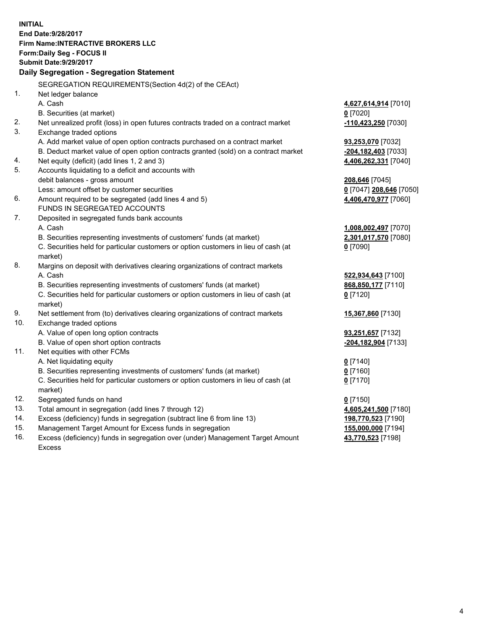**INITIAL End Date:9/28/2017 Firm Name:INTERACTIVE BROKERS LLC Form:Daily Seg - FOCUS II Submit Date:9/29/2017 Daily Segregation - Segregation Statement** SEGREGATION REQUIREMENTS(Section 4d(2) of the CEAct) 1. Net ledger balance A. Cash **4,627,614,914** [7010] B. Securities (at market) **0** [7020] 2. Net unrealized profit (loss) in open futures contracts traded on a contract market **-110,423,250** [7030] 3. Exchange traded options A. Add market value of open option contracts purchased on a contract market **93,253,070** [7032] B. Deduct market value of open option contracts granted (sold) on a contract market **-204,182,403** [7033] 4. Net equity (deficit) (add lines 1, 2 and 3) **4,406,262,331** [7040] 5. Accounts liquidating to a deficit and accounts with debit balances - gross amount **208,646** [7045] Less: amount offset by customer securities **0** [7047] **208,646** [7050] 6. Amount required to be segregated (add lines 4 and 5) **4,406,470,977** [7060] FUNDS IN SEGREGATED ACCOUNTS 7. Deposited in segregated funds bank accounts A. Cash **1,008,002,497** [7070] B. Securities representing investments of customers' funds (at market) **2,301,017,570** [7080] C. Securities held for particular customers or option customers in lieu of cash (at market) **0** [7090] 8. Margins on deposit with derivatives clearing organizations of contract markets A. Cash **522,934,643** [7100] B. Securities representing investments of customers' funds (at market) **868,850,177** [7110] C. Securities held for particular customers or option customers in lieu of cash (at market) **0** [7120] 9. Net settlement from (to) derivatives clearing organizations of contract markets **15,367,860** [7130] 10. Exchange traded options A. Value of open long option contracts **93,251,657** [7132] B. Value of open short option contracts **-204,182,904** [7133] 11. Net equities with other FCMs A. Net liquidating equity **0** [7140] B. Securities representing investments of customers' funds (at market) **0** [7160] C. Securities held for particular customers or option customers in lieu of cash (at market) **0** [7170] 12. Segregated funds on hand **0** [7150] 13. Total amount in segregation (add lines 7 through 12) **4,605,241,500** [7180] 14. Excess (deficiency) funds in segregation (subtract line 6 from line 13) **198,770,523** [7190] 15. Management Target Amount for Excess funds in segregation **155,000,000** [7194] **43,770,523** [7198]

16. Excess (deficiency) funds in segregation over (under) Management Target Amount Excess